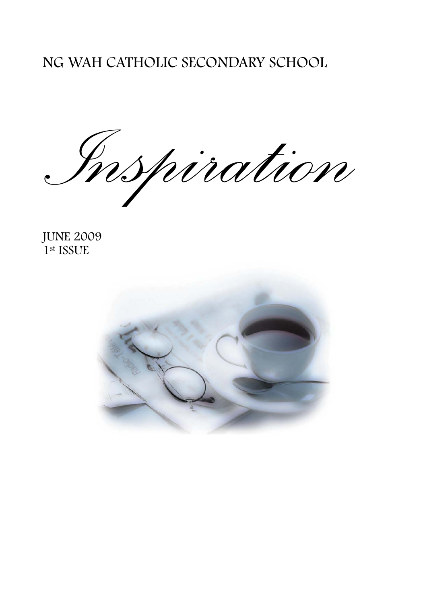# NG WAH CATHOLIC SECONDARY SCHOOL

*I* Spiration

JUNE 2009 1<sup>st</sup> ISSUE

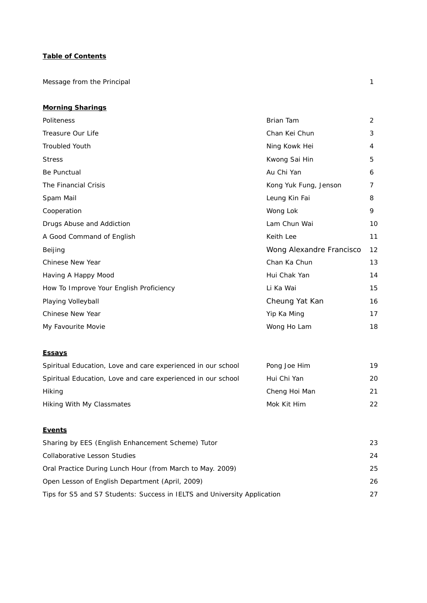## **Table of Contents**

Message from the Principal 1

#### **Morning Sharings**

| Politeness                              | Brian Tam                | $\overline{2}$ |
|-----------------------------------------|--------------------------|----------------|
| Treasure Our Life                       | Chan Kei Chun            | 3              |
| Troubled Youth                          | Ning Kowk Hei            | 4              |
| <b>Stress</b>                           | Kwong Sai Hin            | 5              |
| Be Punctual                             | Au Chi Yan               | 6              |
| The Financial Crisis                    | Kong Yuk Fung, Jenson    | 7              |
| Spam Mail                               | Leung Kin Fai            | 8              |
| Cooperation                             | Wong Lok                 | 9              |
| Drugs Abuse and Addiction               | Lam Chun Wai             | 10             |
| A Good Command of English               | Keith Lee                | 11             |
| Beijing                                 | Wong Alexandre Francisco | 12             |
| Chinese New Year                        | Chan Ka Chun             | 13             |
| Having A Happy Mood                     | Hui Chak Yan             | 14             |
| How To Improve Your English Proficiency | Li Ka Wai                | 15             |
| Playing Volleyball                      | Cheung Yat Kan           | 16             |
| Chinese New Year                        | Yip Ka Ming              | 17             |
| My Favourite Movie                      | Wong Ho Lam              | 18             |

#### **Essays**

| Spiritual Education, Love and care experienced in our school | Pong Joe Him  | 19 |
|--------------------------------------------------------------|---------------|----|
| Spiritual Education, Love and care experienced in our school | Hui Chi Yan   | 20 |
| Hiking                                                       | Cheng Hoi Man | 21 |
| Hiking With My Classmates                                    | Mok Kit Him   | 22 |

#### **Events**

| Sharing by EES (English Enhancement Scheme) Tutor                        | 23 |
|--------------------------------------------------------------------------|----|
| Collaborative Lesson Studies                                             | 24 |
| Oral Practice During Lunch Hour (from March to May. 2009)                | 25 |
| Open Lesson of English Department (April, 2009)                          | 26 |
| Tips for S5 and S7 Students: Success in IELTS and University Application | 27 |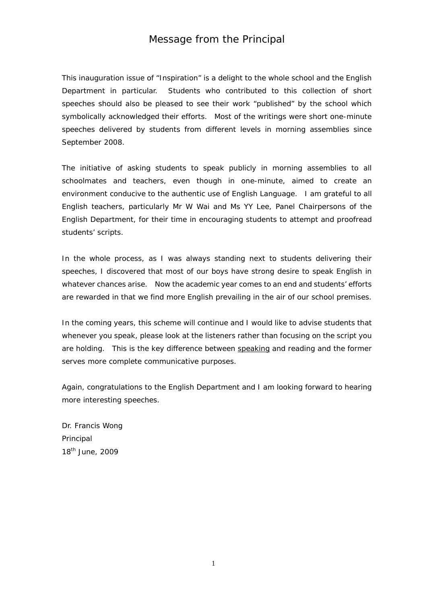# Message from the Principal

This inauguration issue of "Inspiration" is a delight to the whole school and the English Department in particular. Students who contributed to this collection of short speeches should also be pleased to see their work "published" by the school which symbolically acknowledged their efforts. Most of the writings were short one-minute speeches delivered by students from different levels in morning assemblies since September 2008.

The initiative of asking students to speak publicly in morning assemblies to all schoolmates and teachers, even though in one-minute, aimed to create an environment conducive to the authentic use of English Language. I am grateful to all English teachers, particularly Mr W Wai and Ms YY Lee, Panel Chairpersons of the English Department, for their time in encouraging students to attempt and proofread students' scripts.

In the whole process, as I was always standing next to students delivering their speeches, I discovered that most of our boys have strong desire to speak English in whatever chances arise. Now the academic year comes to an end and students' efforts are rewarded in that we find more English prevailing in the air of our school premises.

In the coming years, this scheme will continue and I would like to advise students that whenever you speak, please look at the listeners rather than focusing on the script you are holding. This is the key difference between speaking and reading and the former serves more complete communicative purposes.

Again, congratulations to the English Department and I am looking forward to hearing more interesting speeches.

Dr. Francis Wong Principal 18th June, 2009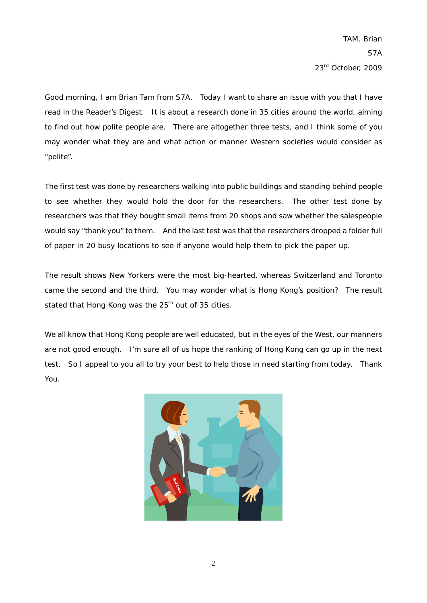Good morning, I am Brian Tam from S7A. Today I want to share an issue with you that I have read in the Reader's Digest. It is about a research done in 35 cities around the world, aiming to find out how polite people are. There are altogether three tests, and I think some of you may wonder what they are and what action or manner Western societies would consider as "polite".

The first test was done by researchers walking into public buildings and standing behind people to see whether they would hold the door for the researchers. The other test done by researchers was that they bought small items from 20 shops and saw whether the salespeople would say "thank you" to them. And the last test was that the researchers dropped a folder full of paper in 20 busy locations to see if anyone would help them to pick the paper up.

The result shows New Yorkers were the most big-hearted, whereas Switzerland and Toronto came the second and the third. You may wonder what is Hong Kong's position? The result stated that Hong Kong was the 25<sup>th</sup> out of 35 cities.

We all know that Hong Kong people are well educated, but in the eyes of the West, our manners are not good enough. I'm sure all of us hope the ranking of Hong Kong can go up in the next test. So I appeal to you all to try your best to help those in need starting from today. Thank You.

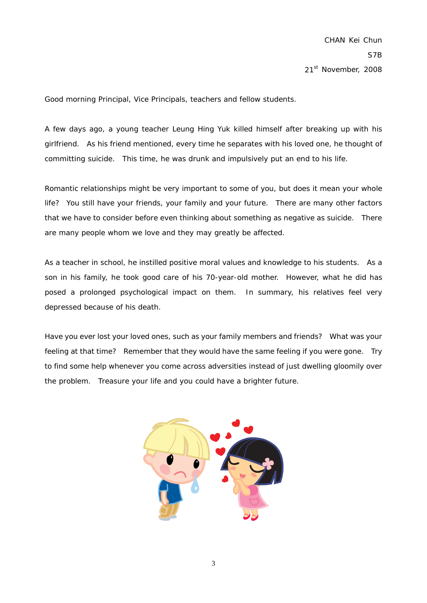Good morning Principal, Vice Principals, teachers and fellow students.

A few days ago, a young teacher Leung Hing Yuk killed himself after breaking up with his girlfriend. As his friend mentioned, every time he separates with his loved one, he thought of committing suicide. This time, he was drunk and impulsively put an end to his life.

Romantic relationships might be very important to some of you, but does it mean your whole life? You still have your friends, your family and your future. There are many other factors that we have to consider before even thinking about something as negative as suicide. There are many people whom we love and they may greatly be affected.

As a teacher in school, he instilled positive moral values and knowledge to his students. As a son in his family, he took good care of his 70-year-old mother. However, what he did has posed a prolonged psychological impact on them. In summary, his relatives feel very depressed because of his death.

Have you ever lost your loved ones, such as your family members and friends? What was your feeling at that time? Remember that they would have the same feeling if you were gone. Try to find some help whenever you come across adversities instead of just dwelling gloomily over the problem. Treasure your life and you could have a brighter future.

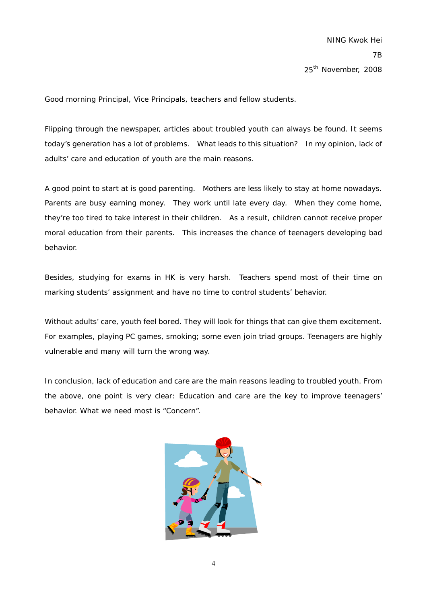Good morning Principal, Vice Principals, teachers and fellow students.

Flipping through the newspaper, articles about troubled youth can always be found. It seems today's generation has a lot of problems. What leads to this situation? In my opinion, lack of adults' care and education of youth are the main reasons.

A good point to start at is good parenting. Mothers are less likely to stay at home nowadays. Parents are busy earning money. They work until late every day. When they come home, they're too tired to take interest in their children. As a result, children cannot receive proper moral education from their parents. This increases the chance of teenagers developing bad behavior.

Besides, studying for exams in HK is very harsh. Teachers spend most of their time on marking students' assignment and have no time to control students' behavior.

Without adults' care, youth feel bored. They will look for things that can give them excitement. For examples, playing PC games, smoking; some even join triad groups. Teenagers are highly vulnerable and many will turn the wrong way.

In conclusion, lack of education and care are the main reasons leading to troubled youth. From the above, one point is very clear: Education and care are the key to improve teenagers' behavior. What we need most is "Concern".

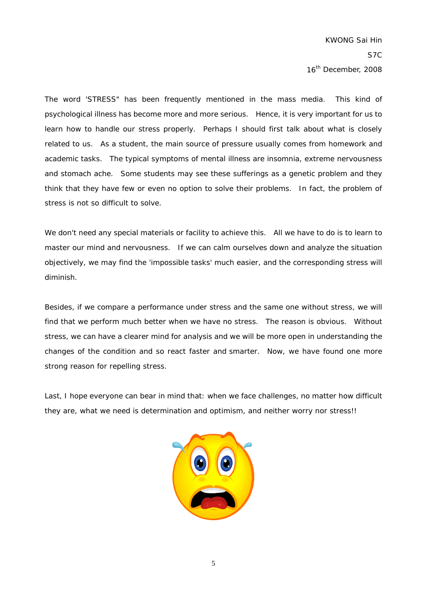The word 'STRESS" has been frequently mentioned in the mass media. This kind of psychological illness has become more and more serious. Hence, it is very important for us to learn how to handle our stress properly. Perhaps I should first talk about what is closely related to us. As a student, the main source of pressure usually comes from homework and academic tasks. The typical symptoms of mental illness are insomnia, extreme nervousness and stomach ache. Some students may see these sufferings as a genetic problem and they think that they have few or even no option to solve their problems. In fact, the problem of stress is not so difficult to solve.

We don't need any special materials or facility to achieve this. All we have to do is to learn to master our mind and nervousness. If we can calm ourselves down and analyze the situation objectively, we may find the 'impossible tasks' much easier, and the corresponding stress will diminish.

Besides, if we compare a performance under stress and the same one without stress, we will find that we perform much better when we have no stress. The reason is obvious. Without stress, we can have a clearer mind for analysis and we will be more open in understanding the changes of the condition and so react faster and smarter. Now, we have found one more strong reason for repelling stress.

Last, I hope everyone can bear in mind that: when we face challenges, no matter how difficult they are, what we need is determination and optimism, and neither worry nor stress!!

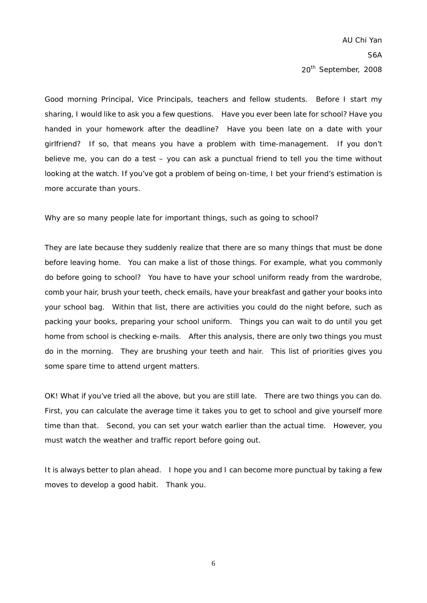Good morning Principal, Vice Principals, teachers and fellow students. Before I start my sharing, I would like to ask you a few questions. Have you ever been late for school? Have you handed in your homework after the deadline? Have you been late on a date with your girlfriend? If so, that means you have a problem with time-management. If you don't believe me, you can do a test – you can ask a punctual friend to tell you the time without looking at the watch. If you've got a problem of being on-time, I bet your friend's estimation is more accurate than yours.

Why are so many people late for important things, such as going to school?

They are late because they suddenly realize that there are so many things that must be done before leaving home. You can make a list of those things. For example, what you commonly do before going to school? You have to have your school uniform ready from the wardrobe, comb your hair, brush your teeth, check emails, have your breakfast and gather your books into your school bag. Within that list, there are activities you could do the night before, such as packing your books, preparing your school uniform. Things you can wait to do until you get home from school is checking e-mails. After this analysis, there are only two things you must do in the morning. They are brushing your teeth and hair. This list of priorities gives you some spare time to attend urgent matters.

OK! What if you've tried all the above, but you are still late. There are two things you can do. First, you can calculate the average time it takes you to get to school and give yourself more time than that. Second, you can set your watch earlier than the actual time. However, you must watch the weather and traffic report before going out.

It is always better to plan ahead. I hope you and I can become more punctual by taking a few moves to develop a good habit. Thank you.

6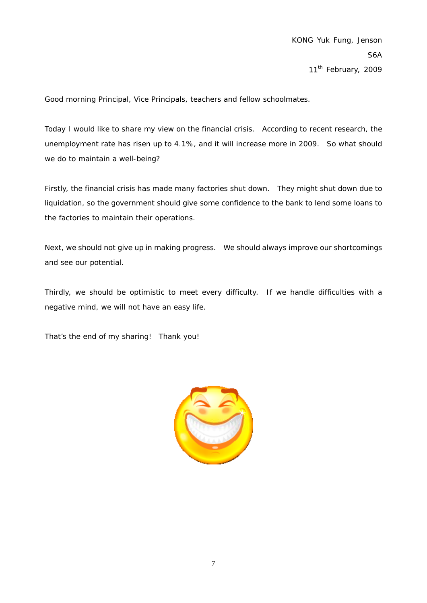Good morning Principal, Vice Principals, teachers and fellow schoolmates.

Today I would like to share my view on the financial crisis. According to recent research, the unemployment rate has risen up to 4.1%, and it will increase more in 2009. So what should we do to maintain a well-being?

Firstly, the financial crisis has made many factories shut down. They might shut down due to liquidation, so the government should give some confidence to the bank to lend some loans to the factories to maintain their operations.

Next, we should not give up in making progress. We should always improve our shortcomings and see our potential.

Thirdly, we should be optimistic to meet every difficulty. If we handle difficulties with a negative mind, we will not have an easy life.

That's the end of my sharing! Thank you!

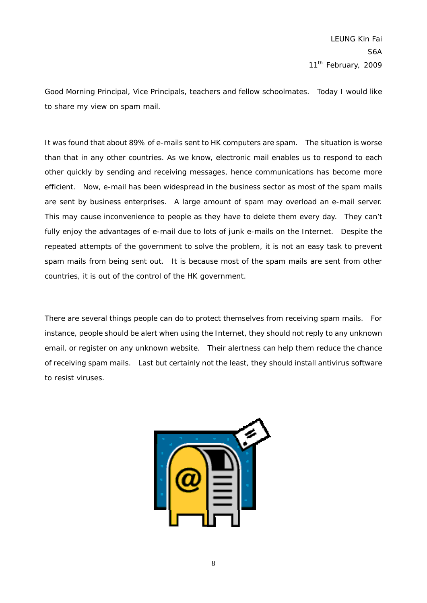Good Morning Principal, Vice Principals, teachers and fellow schoolmates. Today I would like to share my view on spam mail.

It was found that about 89% of e-mails sent to HK computers are spam. The situation is worse than that in any other countries. As we know, electronic mail enables us to respond to each other quickly by sending and receiving messages, hence communications has become more efficient. Now, e-mail has been widespread in the business sector as most of the spam mails are sent by business enterprises. A large amount of spam may overload an e-mail server. This may cause inconvenience to people as they have to delete them every day. They can't fully enjoy the advantages of e-mail due to lots of junk e-mails on the Internet. Despite the repeated attempts of the government to solve the problem, it is not an easy task to prevent spam mails from being sent out. It is because most of the spam mails are sent from other countries, it is out of the control of the HK government.

There are several things people can do to protect themselves from receiving spam mails. For instance, people should be alert when using the Internet, they should not reply to any unknown email, or register on any unknown website. Their alertness can help them reduce the chance of receiving spam mails. Last but certainly not the least, they should install antivirus software to resist viruses.

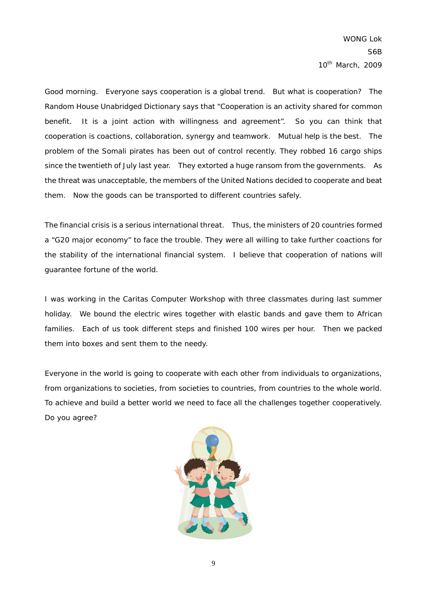Good morning. Everyone says cooperation is a global trend. But what is cooperation? The Random House Unabridged Dictionary says that "Cooperation is an activity shared for common benefit. It is a joint action with willingness and agreement". So you can think that cooperation is coactions, collaboration, synergy and teamwork. Mutual help is the best. The problem of the Somali pirates has been out of control recently. They robbed 16 cargo ships since the twentieth of July last year. They extorted a huge ransom from the governments. As the threat was unacceptable, the members of the United Nations decided to cooperate and beat them. Now the goods can be transported to different countries safely.

The financial crisis is a serious international threat. Thus, the ministers of 20 countries formed a "G20 major economy" to face the trouble. They were all willing to take further coactions for the stability of the international financial system. I believe that cooperation of nations will guarantee fortune of the world.

I was working in the Caritas Computer Workshop with three classmates during last summer holiday. We bound the electric wires together with elastic bands and gave them to African families. Each of us took different steps and finished 100 wires per hour. Then we packed them into boxes and sent them to the needy.

Everyone in the world is going to cooperate with each other from individuals to organizations, from organizations to societies, from societies to countries, from countries to the whole world. To achieve and build a better world we need to face all the challenges together cooperatively. Do you agree?

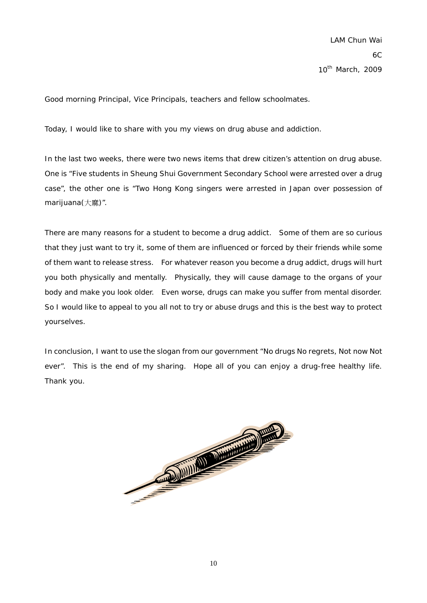Good morning Principal, Vice Principals, teachers and fellow schoolmates.

Today, I would like to share with you my views on drug abuse and addiction.

In the last two weeks, there were two news items that drew citizen's attention on drug abuse. One is "Five students in Sheung Shui Government Secondary School were arrested over a drug case", the other one is "Two Hong Kong singers were arrested in Japan over possession of marijuana $(\pm \frac{m}{m})$ ".

There are many reasons for a student to become a drug addict. Some of them are so curious that they just want to try it, some of them are influenced or forced by their friends while some of them want to release stress. For whatever reason you become a drug addict, drugs will hurt you both physically and mentally. Physically, they will cause damage to the organs of your body and make you look older. Even worse, drugs can make you suffer from mental disorder. So I would like to appeal to you all not to try or abuse drugs and this is the best way to protect yourselves.

In conclusion, I want to use the slogan from our government "No drugs No regrets, Not now Not ever". This is the end of my sharing. Hope all of you can enjoy a drug-free healthy life. Thank you.

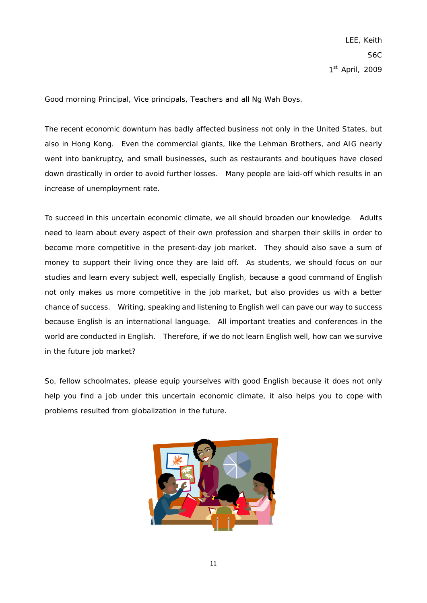Good morning Principal, Vice principals, Teachers and all Ng Wah Boys.

The recent economic downturn has badly affected business not only in the United States, but also in Hong Kong. Even the commercial giants, like the Lehman Brothers, and AIG nearly went into bankruptcy, and small businesses, such as restaurants and boutiques have closed down drastically in order to avoid further losses. Many people are laid-off which results in an increase of unemployment rate.

To succeed in this uncertain economic climate, we all should broaden our knowledge. Adults need to learn about every aspect of their own profession and sharpen their skills in order to become more competitive in the present-day job market. They should also save a sum of money to support their living once they are laid off. As students, we should focus on our studies and learn every subject well, especially English, because a good command of English not only makes us more competitive in the job market, but also provides us with a better chance of success. Writing, speaking and listening to English well can pave our way to success because English is an international language. All important treaties and conferences in the world are conducted in English. Therefore, if we do not learn English well, how can we survive in the future job market?

So, fellow schoolmates, please equip yourselves with good English because it does not only help you find a job under this uncertain economic climate, it also helps you to cope with problems resulted from globalization in the future.

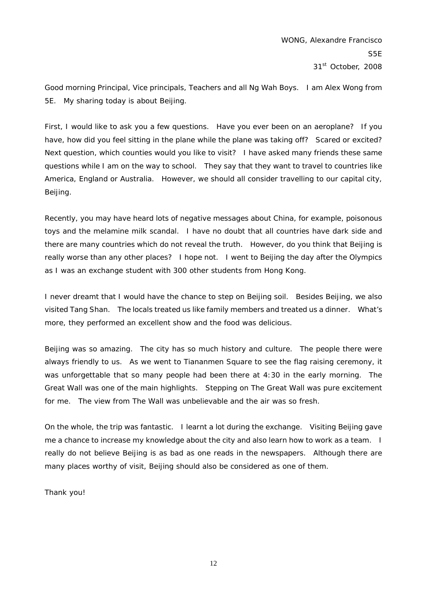Good morning Principal, Vice principals, Teachers and all Ng Wah Boys. I am Alex Wong from 5E. My sharing today is about Beijing.

First, I would like to ask you a few questions. Have you ever been on an aeroplane? If you have, how did you feel sitting in the plane while the plane was taking off? Scared or excited? Next question, which counties would you like to visit? I have asked many friends these same questions while I am on the way to school. They say that they want to travel to countries like America, England or Australia. However, we should all consider travelling to our capital city, Beijing.

Recently, you may have heard lots of negative messages about China, for example, poisonous toys and the melamine milk scandal. I have no doubt that all countries have dark side and there are many countries which do not reveal the truth. However, do you think that Beijing is really worse than any other places? I hope not. I went to Beijing the day after the Olympics as I was an exchange student with 300 other students from Hong Kong.

I never dreamt that I would have the chance to step on Beijing soil. Besides Beijing, we also visited Tang Shan. The locals treated us like family members and treated us a dinner. What's more, they performed an excellent show and the food was delicious.

Beijing was so amazing. The city has so much history and culture. The people there were always friendly to us. As we went to Tiananmen Square to see the flag raising ceremony, it was unforgettable that so many people had been there at 4:30 in the early morning. The Great Wall was one of the main highlights. Stepping on The Great Wall was pure excitement for me. The view from The Wall was unbelievable and the air was so fresh.

On the whole, the trip was fantastic. I learnt a lot during the exchange. Visiting Beijing gave me a chance to increase my knowledge about the city and also learn how to work as a team. I really do not believe Beijing is as bad as one reads in the newspapers. Although there are many places worthy of visit, Beijing should also be considered as one of them.

Thank you!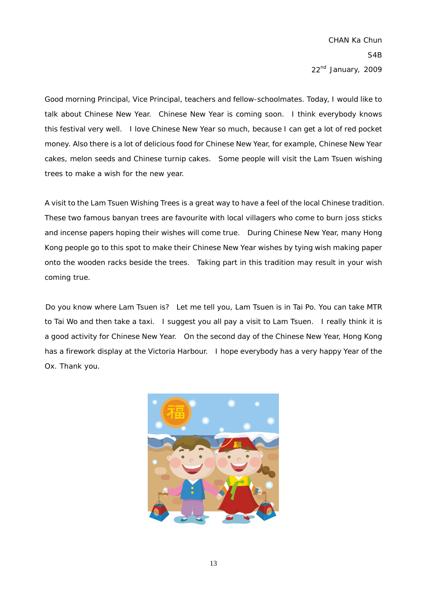Good morning Principal, Vice Principal, teachers and fellow-schoolmates. Today, I would like to talk about Chinese New Year. Chinese New Year is coming soon. I think everybody knows this festival very well. I love Chinese New Year so much, because I can get a lot of red pocket money. Also there is a lot of delicious food for Chinese New Year, for example, Chinese New Year cakes, melon seeds and Chinese turnip cakes. Some people will visit the Lam Tsuen wishing trees to make a wish for the new year.

A visit to the Lam Tsuen Wishing Trees is a great way to have a feel of the local Chinese tradition. These two famous banyan trees are favourite with local villagers who come to burn joss sticks and incense papers hoping their wishes will come true. During Chinese New Year, many Hong Kong people go to this spot to make their Chinese New Year wishes by tying wish making paper onto the wooden racks beside the trees. Taking part in this tradition may result in your wish coming true.

Do you know where Lam Tsuen is? Let me tell you, Lam Tsuen is in Tai Po. You can take MTR to Tai Wo and then take a taxi. I suggest you all pay a visit to Lam Tsuen. I really think it is a good activity for Chinese New Year. On the second day of the Chinese New Year, Hong Kong has a firework display at the Victoria Harbour. I hope everybody has a very happy Year of the Ox. Thank you.

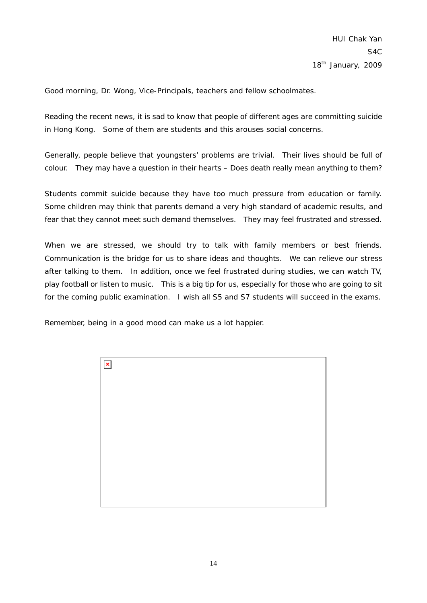Good morning, Dr. Wong, Vice-Principals, teachers and fellow schoolmates.

Reading the recent news, it is sad to know that people of different ages are committing suicide in Hong Kong. Some of them are students and this arouses social concerns.

Generally, people believe that youngsters' problems are trivial. Their lives should be full of colour. They may have a question in their hearts – Does death really mean anything to them?

Students commit suicide because they have too much pressure from education or family. Some children may think that parents demand a very high standard of academic results, and fear that they cannot meet such demand themselves. They may feel frustrated and stressed.

When we are stressed, we should try to talk with family members or best friends. Communication is the bridge for us to share ideas and thoughts. We can relieve our stress after talking to them. In addition, once we feel frustrated during studies, we can watch TV, play football or listen to music. This is a big tip for us, especially for those who are going to sit for the coming public examination. I wish all S5 and S7 students will succeed in the exams.

Remember, being in a good mood can make us a lot happier.

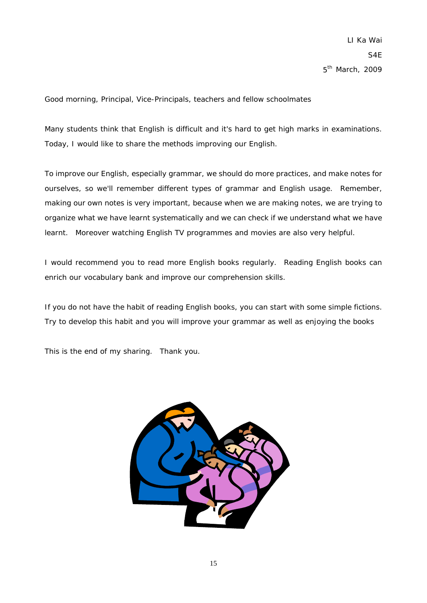Good morning, Principal, Vice-Principals, teachers and fellow schoolmates

Many students think that English is difficult and it's hard to get high marks in examinations. Today, I would like to share the methods improving our English.

To improve our English, especially grammar, we should do more practices, and make notes for ourselves, so we'll remember different types of grammar and English usage. Remember, making our own notes is very important, because when we are making notes, we are trying to organize what we have learnt systematically and we can check if we understand what we have learnt. Moreover watching English TV programmes and movies are also very helpful.

I would recommend you to read more English books regularly. Reading English books can enrich our vocabulary bank and improve our comprehension skills.

If you do not have the habit of reading English books, you can start with some simple fictions. Try to develop this habit and you will improve your grammar as well as enjoying the books

This is the end of my sharing. Thank you.

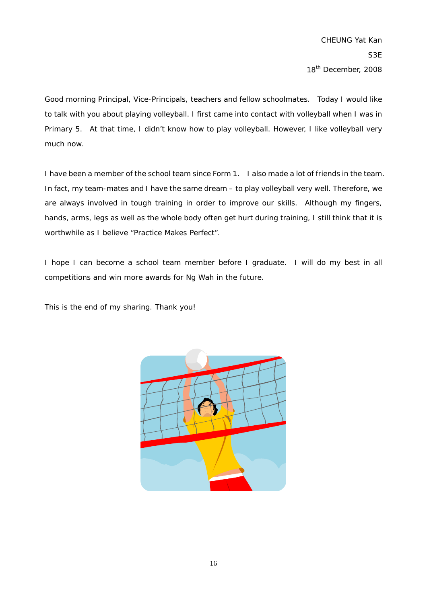Good morning Principal, Vice-Principals, teachers and fellow schoolmates. Today I would like to talk with you about playing volleyball. I first came into contact with volleyball when I was in Primary 5. At that time, I didn't know how to play volleyball. However, I like volleyball very much now.

I have been a member of the school team since Form 1. I also made a lot of friends in the team. In fact, my team-mates and I have the same dream – to play volleyball very well. Therefore, we are always involved in tough training in order to improve our skills. Although my fingers, hands, arms, legs as well as the whole body often get hurt during training, I still think that it is worthwhile as I believe "Practice Makes Perfect".

I hope I can become a school team member before I graduate. I will do my best in all competitions and win more awards for Ng Wah in the future.

This is the end of my sharing. Thank you!

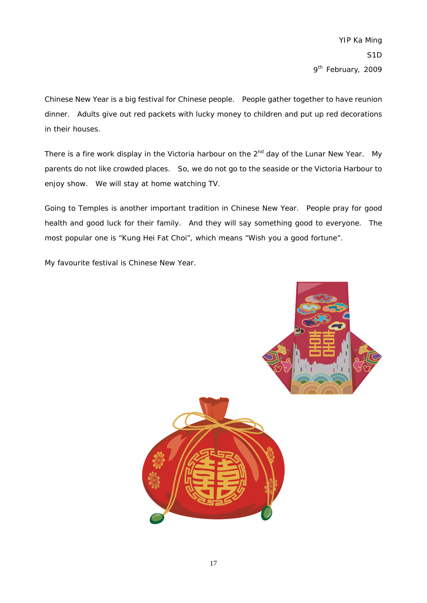Chinese New Year is a big festival for Chinese people. People gather together to have reunion dinner. Adults give out red packets with lucky money to children and put up red decorations in their houses.

There is a fire work display in the Victoria harbour on the 2<sup>nd</sup> day of the Lunar New Year. My parents do not like crowded places. So, we do not go to the seaside or the Victoria Harbour to enjoy show. We will stay at home watching TV.

Going to Temples is another important tradition in Chinese New Year. People pray for good health and good luck for their family. And they will say something good to everyone. The most popular one is "Kung Hei Fat Choi", which means "Wish you a good fortune".

My favourite festival is Chinese New Year.

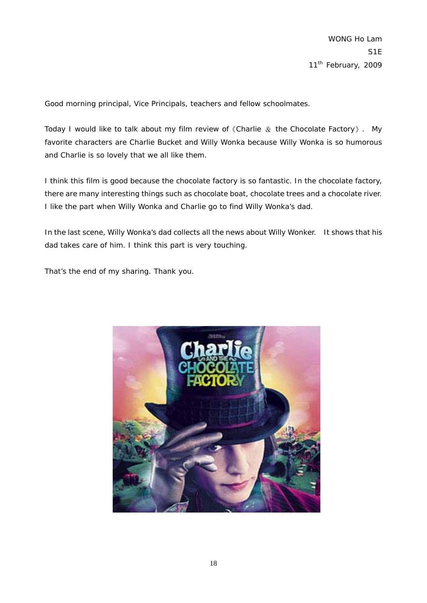Good morning principal, Vice Principals, teachers and fellow schoolmates.

Today I would like to talk about my film review of  $\Diamond$  Charlie  $\Diamond$  the Chocolate Factory  $\rangle$ . My favorite characters are Charlie Bucket and Willy Wonka because Willy Wonka is so humorous and Charlie is so lovely that we all like them.

I think this film is good because the chocolate factory is so fantastic. In the chocolate factory, there are many interesting things such as chocolate boat, chocolate trees and a chocolate river. I like the part when Willy Wonka and Charlie go to find Willy Wonka's dad.

In the last scene, Willy Wonka's dad collects all the news about Willy Wonker. It shows that his dad takes care of him. I think this part is very touching.

That's the end of my sharing. Thank you.

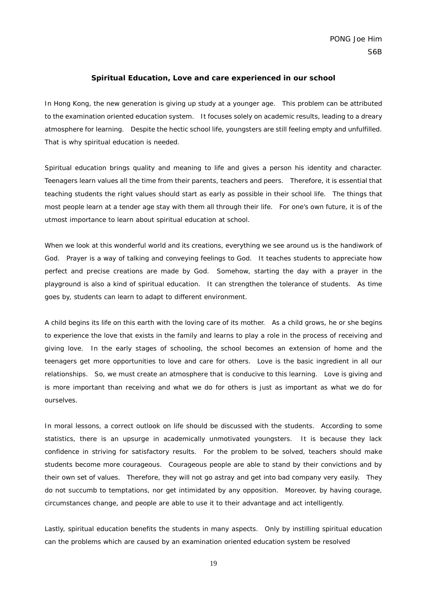#### **Spiritual Education, Love and care experienced in our school**

In Hong Kong, the new generation is giving up study at a younger age. This problem can be attributed to the examination oriented education system. It focuses solely on academic results, leading to a dreary atmosphere for learning. Despite the hectic school life, youngsters are still feeling empty and unfulfilled. That is why spiritual education is needed.

Spiritual education brings quality and meaning to life and gives a person his identity and character. Teenagers learn values all the time from their parents, teachers and peers. Therefore, it is essential that teaching students the right values should start as early as possible in their school life. The things that most people learn at a tender age stay with them all through their life. For one's own future, it is of the utmost importance to learn about spiritual education at school.

When we look at this wonderful world and its creations, everything we see around us is the handiwork of God. Prayer is a way of talking and conveying feelings to God. It teaches students to appreciate how perfect and precise creations are made by God. Somehow, starting the day with a prayer in the playground is also a kind of spiritual education. It can strengthen the tolerance of students. As time goes by, students can learn to adapt to different environment.

A child begins its life on this earth with the loving care of its mother. As a child grows, he or she begins to experience the love that exists in the family and learns to play a role in the process of receiving and giving love. In the early stages of schooling, the school becomes an extension of home and the teenagers get more opportunities to love and care for others. Love is the basic ingredient in all our relationships. So, we must create an atmosphere that is conducive to this learning. Love is giving and is more important than receiving and what we do for others is just as important as what we do for ourselves.

In moral lessons, a correct outlook on life should be discussed with the students. According to some statistics, there is an upsurge in academically unmotivated youngsters. It is because they lack confidence in striving for satisfactory results. For the problem to be solved, teachers should make students become more courageous. Courageous people are able to stand by their convictions and by their own set of values. Therefore, they will not go astray and get into bad company very easily. They do not succumb to temptations, nor get intimidated by any opposition. Moreover, by having courage, circumstances change, and people are able to use it to their advantage and act intelligently.

Lastly, spiritual education benefits the students in many aspects. Only by instilling spiritual education can the problems which are caused by an examination oriented education system be resolved

19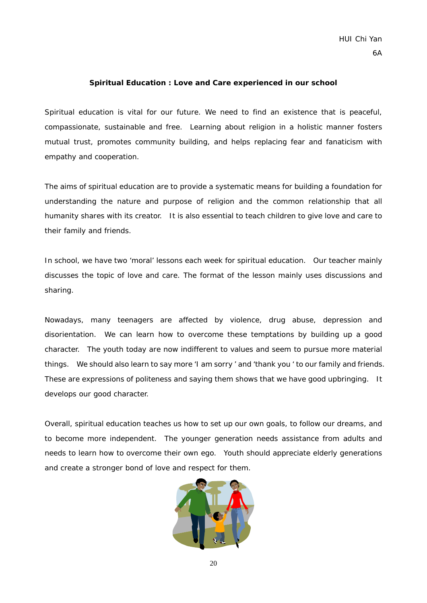#### **Spiritual Education : Love and Care experienced in our school**

Spiritual education is vital for our future. We need to find an existence that is peaceful, compassionate, sustainable and free. Learning about religion in a holistic manner fosters mutual trust, promotes community building, and helps replacing fear and fanaticism with empathy and cooperation.

The aims of spiritual education are to provide a systematic means for building a foundation for understanding the nature and purpose of religion and the common relationship that all humanity shares with its creator. It is also essential to teach children to give love and care to their family and friends.

In school, we have two 'moral' lessons each week for spiritual education. Our teacher mainly discusses the topic of love and care. The format of the lesson mainly uses discussions and sharing.

Nowadays, many teenagers are affected by violence, drug abuse, depression and disorientation. We can learn how to overcome these temptations by building up a good character. The youth today are now indifferent to values and seem to pursue more material things. We should also learn to say more 'I am sorry ' and 'thank you ' to our family and friends. These are expressions of politeness and saying them shows that we have good upbringing. It develops our good character.

Overall, spiritual education teaches us how to set up our own goals, to follow our dreams, and to become more independent. The younger generation needs assistance from adults and needs to learn how to overcome their own ego. Youth should appreciate elderly generations and create a stronger bond of love and respect for them.

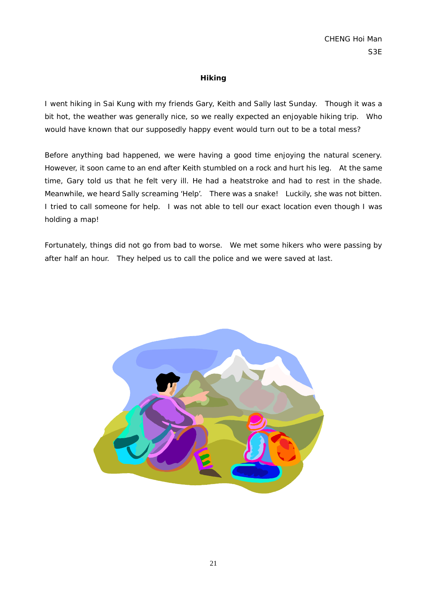#### **Hiking**

I went hiking in Sai Kung with my friends Gary, Keith and Sally last Sunday. Though it was a bit hot, the weather was generally nice, so we really expected an enjoyable hiking trip. Who would have known that our supposedly happy event would turn out to be a total mess?

Before anything bad happened, we were having a good time enjoying the natural scenery. However, it soon came to an end after Keith stumbled on a rock and hurt his leg. At the same time, Gary told us that he felt very ill. He had a heatstroke and had to rest in the shade. Meanwhile, we heard Sally screaming 'Help'. There was a snake! Luckily, she was not bitten. I tried to call someone for help. I was not able to tell our exact location even though I was holding a map!

Fortunately, things did not go from bad to worse. We met some hikers who were passing by after half an hour. They helped us to call the police and we were saved at last.

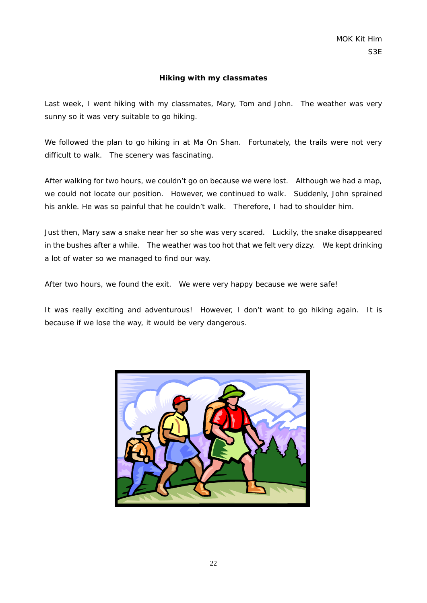#### **Hiking with my classmates**

Last week, I went hiking with my classmates, Mary, Tom and John. The weather was very sunny so it was very suitable to go hiking.

We followed the plan to go hiking in at Ma On Shan. Fortunately, the trails were not very difficult to walk. The scenery was fascinating.

After walking for two hours, we couldn't go on because we were lost. Although we had a map, we could not locate our position. However, we continued to walk. Suddenly, John sprained his ankle. He was so painful that he couldn't walk. Therefore, I had to shoulder him.

Just then, Mary saw a snake near her so she was very scared. Luckily, the snake disappeared in the bushes after a while. The weather was too hot that we felt very dizzy. We kept drinking a lot of water so we managed to find our way.

After two hours, we found the exit. We were very happy because we were safe!

It was really exciting and adventurous! However, I don't want to go hiking again. It is because if we lose the way, it would be very dangerous.

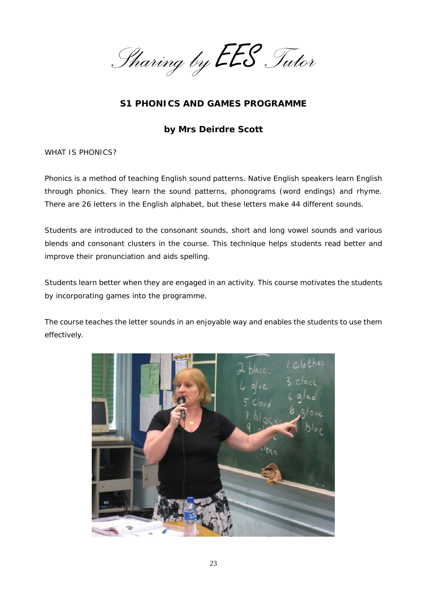*Sharing by* EES *Tutor*

# **S1 PHONICS AND GAMES PROGRAMME**

## **by Mrs Deirdre Scott**

WHAT IS PHONICS?

Phonics is a method of teaching English sound patterns. Native English speakers learn English through phonics. They learn the sound patterns, phonograms (word endings) and rhyme. There are 26 letters in the English alphabet, but these letters make 44 different sounds.

Students are introduced to the consonant sounds, short and long vowel sounds and various blends and consonant clusters in the course. This technique helps students read better and improve their pronunciation and aids spelling.

Students learn better when they are engaged in an activity. This course motivates the students by incorporating games into the programme.

The course teaches the letter sounds in an enjoyable way and enables the students to use them effectively.

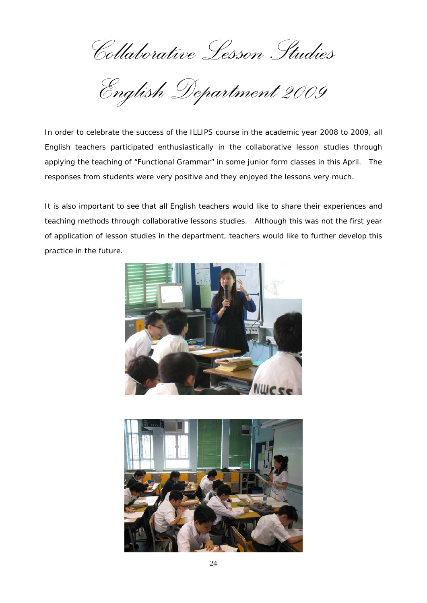*Collaborative Lesson Studies* 

*English Department 2009* 

In order to celebrate the success of the ILLIPS course in the academic year 2008 to 2009, all English teachers participated enthusiastically in the collaborative lesson studies through applying the teaching of "Functional Grammar" in some junior form classes in this April. The responses from students were very positive and they enjoyed the lessons very much.

It is also important to see that all English teachers would like to share their experiences and teaching methods through collaborative lessons studies. Although this was not the first year of application of lesson studies in the department, teachers would like to further develop this practice in the future.



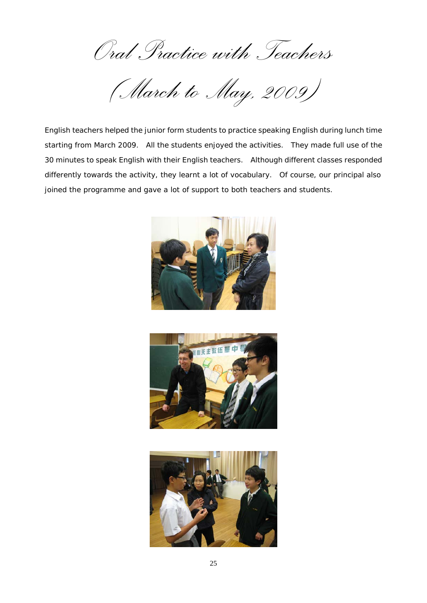*Oral Practice with Teachers* 

*(March to May, 2009)* 

English teachers helped the junior form students to practice speaking English during lunch time starting from March 2009. All the students enjoyed the activities. They made full use of the 30 minutes to speak English with their English teachers. Although different classes responded differently towards the activity, they learnt a lot of vocabulary. Of course, our principal also joined the programme and gave a lot of support to both teachers and students.





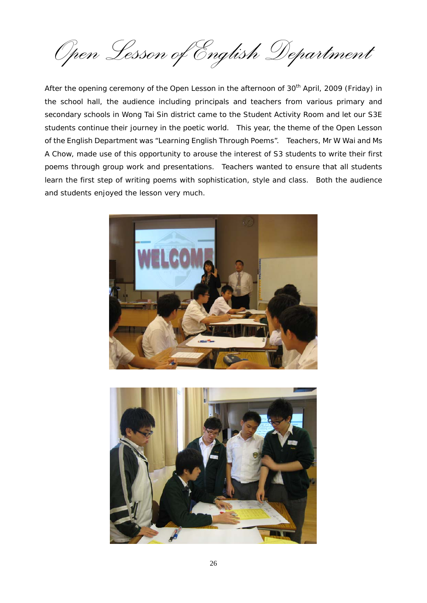*Open Lesson of English Department* 

After the opening ceremony of the Open Lesson in the afternoon of 30<sup>th</sup> April, 2009 (Friday) in the school hall, the audience including principals and teachers from various primary and secondary schools in Wong Tai Sin district came to the Student Activity Room and let our S3E students continue their journey in the poetic world. This year, the theme of the Open Lesson of the English Department was "Learning English Through Poems". Teachers, Mr W Wai and Ms A Chow, made use of this opportunity to arouse the interest of S3 students to write their first poems through group work and presentations. Teachers wanted to ensure that all students learn the first step of writing poems with sophistication, style and class. Both the audience and students enjoyed the lesson very much.



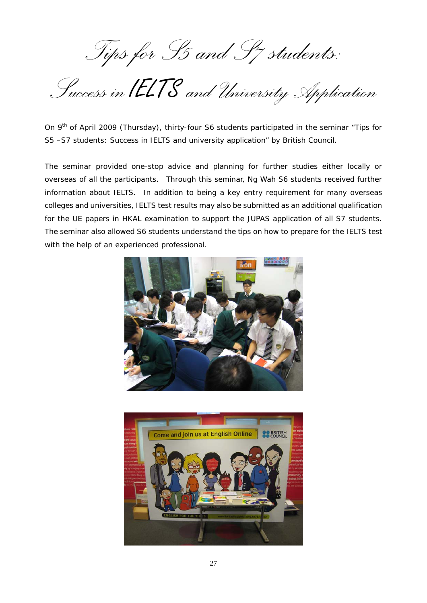*Tips for S5 and S7 students:* 

*Success in* IELTS *and University Application*

On 9<sup>th</sup> of April 2009 (Thursday), thirty-four S6 students participated in the seminar "Tips for S5 –S7 students: Success in IELTS and university application" by British Council.

The seminar provided one-stop advice and planning for further studies either locally or overseas of all the participants. Through this seminar, Ng Wah S6 students received further information about IELTS. In addition to being a key entry requirement for many overseas colleges and universities, IELTS test results may also be submitted as an additional qualification for the UE papers in HKAL examination to support the JUPAS application of all S7 students. The seminar also allowed S6 students understand the tips on how to prepare for the IELTS test with the help of an experienced professional.